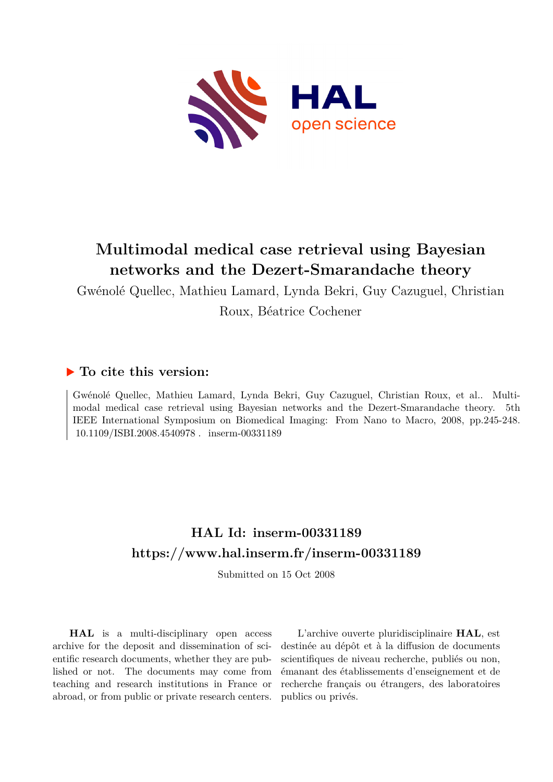

# **Multimodal medical case retrieval using Bayesian networks and the Dezert-Smarandache theory**

Gwénolé Quellec, Mathieu Lamard, Lynda Bekri, Guy Cazuguel, Christian Roux, Béatrice Cochener

# **To cite this version:**

Gwénolé Quellec, Mathieu Lamard, Lynda Bekri, Guy Cazuguel, Christian Roux, et al.. Multimodal medical case retrieval using Bayesian networks and the Dezert-Smarandache theory. 5th IEEE International Symposium on Biomedical Imaging: From Nano to Macro, 2008, pp.245-248.  $10.1109/$ ISBI.2008.4540978. inserm-00331189

# **HAL Id: inserm-00331189 <https://www.hal.inserm.fr/inserm-00331189>**

Submitted on 15 Oct 2008

**HAL** is a multi-disciplinary open access archive for the deposit and dissemination of scientific research documents, whether they are published or not. The documents may come from teaching and research institutions in France or abroad, or from public or private research centers.

L'archive ouverte pluridisciplinaire **HAL**, est destinée au dépôt et à la diffusion de documents scientifiques de niveau recherche, publiés ou non, émanant des établissements d'enseignement et de recherche français ou étrangers, des laboratoires publics ou privés.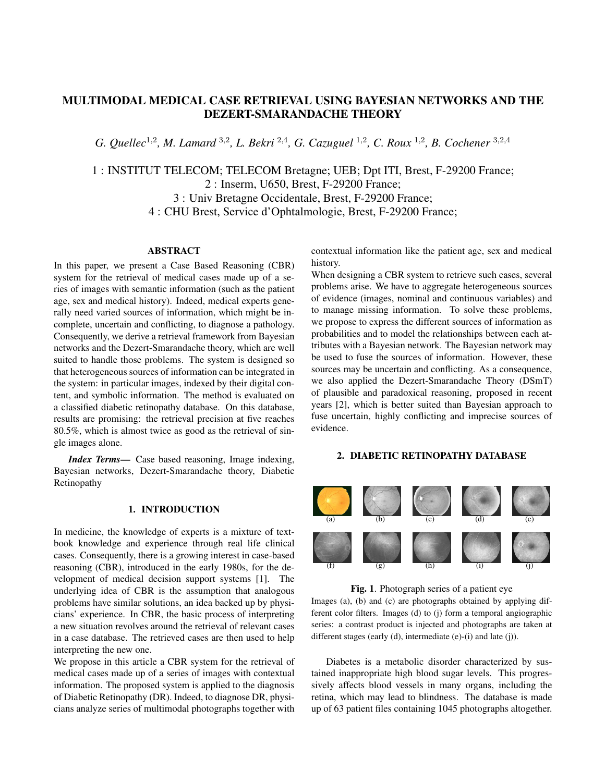# MULTIMODAL MEDICAL CASE RETRIEVAL USING BAYESIAN NETWORKS AND THE DEZERT-SMARANDACHE THEORY

*G. Quellec*<sup>1</sup>,<sup>2</sup> *, M. Lamard* <sup>3</sup>,<sup>2</sup> *, L. Bekri* <sup>2</sup>,<sup>4</sup> *, G. Cazuguel* <sup>1</sup>,<sup>2</sup> *, C. Roux* <sup>1</sup>,<sup>2</sup> *, B. Cochener* <sup>3</sup>,2,<sup>4</sup>

1 : INSTITUT TELECOM; TELECOM Bretagne; UEB; Dpt ITI, Brest, F-29200 France; 2 : Inserm, U650, Brest, F-29200 France; 3 : Univ Bretagne Occidentale, Brest, F-29200 France; 4 : CHU Brest, Service d'Ophtalmologie, Brest, F-29200 France;

## ABSTRACT

In this paper, we present a Case Based Reasoning (CBR) system for the retrieval of medical cases made up of a series of images with semantic information (such as the patient age, sex and medical history). Indeed, medical experts generally need varied sources of information, which might be incomplete, uncertain and conflicting, to diagnose a pathology. Consequently, we derive a retrieval framework from Bayesian networks and the Dezert-Smarandache theory, which are well suited to handle those problems. The system is designed so that heterogeneous sources of information can be integrated in the system: in particular images, indexed by their digital content, and symbolic information. The method is evaluated on a classified diabetic retinopathy database. On this database, results are promising: the retrieval precision at five reaches 80.5%, which is almost twice as good as the retrieval of single images alone.

*Index Terms*— Case based reasoning, Image indexing, Bayesian networks, Dezert-Smarandache theory, Diabetic Retinopathy

### 1. INTRODUCTION

In medicine, the knowledge of experts is a mixture of textbook knowledge and experience through real life clinical cases. Consequently, there is a growing interest in case-based reasoning (CBR), introduced in the early 1980s, for the development of medical decision support systems [1]. The underlying idea of CBR is the assumption that analogous problems have similar solutions, an idea backed up by physicians' experience. In CBR, the basic process of interpreting a new situation revolves around the retrieval of relevant cases in a case database. The retrieved cases are then used to help interpreting the new one.

We propose in this article a CBR system for the retrieval of medical cases made up of a series of images with contextual information. The proposed system is applied to the diagnosis of Diabetic Retinopathy (DR). Indeed, to diagnose DR, physicians analyze series of multimodal photographs together with

contextual information like the patient age, sex and medical history.

When designing a CBR system to retrieve such cases, several problems arise. We have to aggregate heterogeneous sources of evidence (images, nominal and continuous variables) and to manage missing information. To solve these problems, we propose to express the different sources of information as probabilities and to model the relationships between each attributes with a Bayesian network. The Bayesian network may be used to fuse the sources of information. However, these sources may be uncertain and conflicting. As a consequence, we also applied the Dezert-Smarandache Theory (DSmT) of plausible and paradoxical reasoning, proposed in recent years [2], which is better suited than Bayesian approach to fuse uncertain, highly conflicting and imprecise sources of evidence.

### 2. DIABETIC RETINOPATHY DATABASE



Fig. 1. Photograph series of a patient eye

Images (a), (b) and (c) are photographs obtained by applying different color filters. Images (d) to (j) form a temporal angiographic series: a contrast product is injected and photographs are taken at different stages (early (d), intermediate (e)-(i) and late (j)).

Diabetes is a metabolic disorder characterized by sustained inappropriate high blood sugar levels. This progressively affects blood vessels in many organs, including the retina, which may lead to blindness. The database is made up of 63 patient files containing 1045 photographs altogether.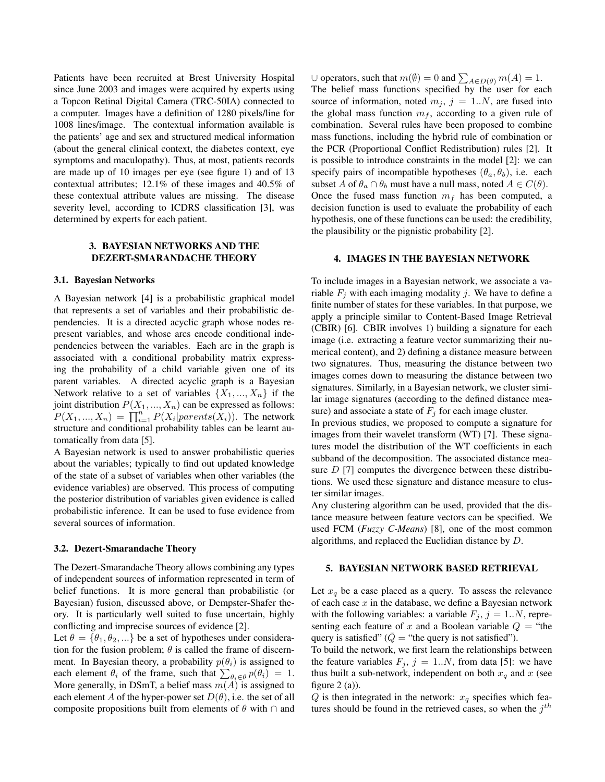Patients have been recruited at Brest University Hospital since June 2003 and images were acquired by experts using a Topcon Retinal Digital Camera (TRC-50IA) connected to a computer. Images have a definition of 1280 pixels/line for 1008 lines/image. The contextual information available is the patients' age and sex and structured medical information (about the general clinical context, the diabetes context, eye symptoms and maculopathy). Thus, at most, patients records are made up of 10 images per eye (see figure 1) and of 13 contextual attributes; 12.1% of these images and 40.5% of these contextual attribute values are missing. The disease severity level, according to ICDRS classification [3], was determined by experts for each patient.

### 3. BAYESIAN NETWORKS AND THE DEZERT-SMARANDACHE THEORY

#### 3.1. Bayesian Networks

A Bayesian network [4] is a probabilistic graphical model that represents a set of variables and their probabilistic dependencies. It is a directed acyclic graph whose nodes represent variables, and whose arcs encode conditional independencies between the variables. Each arc in the graph is associated with a conditional probability matrix expressing the probability of a child variable given one of its parent variables. A directed acyclic graph is a Bayesian Network relative to a set of variables  $\{X_1, ..., X_n\}$  if the joint distribution  $P(X_1, ..., X_n)$  can be expressed as follows:  $P(X_1, ..., X_n) = \prod_{i=1}^n P(X_i | parents(X_i))$ . The network structure and conditional probability tables can be learnt automatically from data [5].

A Bayesian network is used to answer probabilistic queries about the variables; typically to find out updated knowledge of the state of a subset of variables when other variables (the evidence variables) are observed. This process of computing the posterior distribution of variables given evidence is called probabilistic inference. It can be used to fuse evidence from several sources of information.

#### 3.2. Dezert-Smarandache Theory

The Dezert-Smarandache Theory allows combining any types of independent sources of information represented in term of belief functions. It is more general than probabilistic (or Bayesian) fusion, discussed above, or Dempster-Shafer theory. It is particularly well suited to fuse uncertain, highly conflicting and imprecise sources of evidence [2].

Let  $\theta = {\theta_1, \theta_2, ...}$  be a set of hypotheses under consideration for the fusion problem;  $\theta$  is called the frame of discernment. In Bayesian theory, a probability  $p(\theta_i)$  is assigned to each element  $\theta_i$  of the frame, such that  $\sum_{\theta_i \in \theta} p(\theta_i) = 1$ . More generally, in DSmT, a belief mass  $m(A)$  is assigned to each element A of the hyper-power set  $D(\theta)$ , i.e. the set of all composite propositions built from elements of  $\theta$  with ∩ and

∪ operators, such that  $m(\emptyset) = 0$  and  $\sum_{A \in D(\theta)} m(A) = 1$ . The belief mass functions specified by the user for each source of information, noted  $m_j$ ,  $j = 1..N$ , are fused into the global mass function  $m_f$ , according to a given rule of combination. Several rules have been proposed to combine mass functions, including the hybrid rule of combination or the PCR (Proportional Conflict Redistribution) rules [2]. It is possible to introduce constraints in the model [2]: we can specify pairs of incompatible hypotheses  $(\theta_a, \theta_b)$ , i.e. each subset A of  $\theta_a \cap \theta_b$  must have a null mass, noted  $A \in C(\theta)$ . Once the fused mass function  $m_f$  has been computed, a decision function is used to evaluate the probability of each hypothesis, one of these functions can be used: the credibility, the plausibility or the pignistic probability [2].

#### 4. IMAGES IN THE BAYESIAN NETWORK

To include images in a Bayesian network, we associate a variable  $F_j$  with each imaging modality j. We have to define a finite number of states for these variables. In that purpose, we apply a principle similar to Content-Based Image Retrieval (CBIR) [6]. CBIR involves 1) building a signature for each image (i.e. extracting a feature vector summarizing their numerical content), and 2) defining a distance measure between two signatures. Thus, measuring the distance between two images comes down to measuring the distance between two signatures. Similarly, in a Bayesian network, we cluster similar image signatures (according to the defined distance measure) and associate a state of  $F_i$  for each image cluster. In previous studies, we proposed to compute a signature for

images from their wavelet transform (WT) [7]. These signatures model the distribution of the WT coefficients in each subband of the decomposition. The associated distance measure  $D$  [7] computes the divergence between these distributions. We used these signature and distance measure to cluster similar images.

Any clustering algorithm can be used, provided that the distance measure between feature vectors can be specified. We used FCM (*Fuzzy C-Means*) [8], one of the most common algorithms, and replaced the Euclidian distance by D.

#### 5. BAYESIAN NETWORK BASED RETRIEVAL

Let  $x_q$  be a case placed as a query. To assess the relevance of each case  $x$  in the database, we define a Bayesian network with the following variables: a variable  $F_i$ ,  $j = 1..N$ , representing each feature of x and a Boolean variable  $Q =$  "the query is satisfied" ( $Q =$  "the query is not satisfied").

To build the network, we first learn the relationships between the feature variables  $F_j$ ,  $j = 1..N$ , from data [5]: we have thus built a sub-network, independent on both  $x_q$  and x (see figure  $2(a)$ ).

 $Q$  is then integrated in the network:  $x_q$  specifies which features should be found in the retrieved cases, so when the  $j<sup>th</sup>$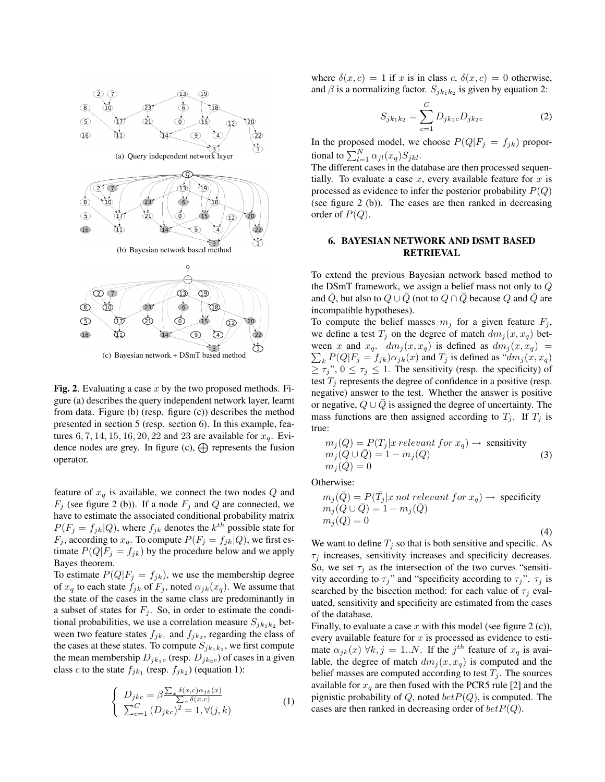

Fig. 2. Evaluating a case  $x$  by the two proposed methods. Figure (a) describes the query independent network layer, learnt from data. Figure (b) (resp. figure (c)) describes the method presented in section 5 (resp. section 6). In this example, features 6, 7, 14, 15, 16, 20, 22 and 23 are available for  $x_q$ . Evidence nodes are grey. In figure (c),  $\bigoplus$  represents the fusion operator.

feature of  $x_q$  is available, we connect the two nodes  $Q$  and  $F_j$  (see figure 2 (b)). If a node  $F_j$  and Q are connected, we have to estimate the associated conditional probability matrix  $P(F_j = f_{jk}|Q)$ , where  $f_{jk}$  denotes the  $k^{th}$  possible state for  $F_j$ , according to  $x_q$ . To compute  $P(F_j = f_{jk}|Q)$ , we first estimate  $P(Q|F_j = f_{jk})$  by the procedure below and we apply Bayes theorem.

To estimate  $P(Q|F_j = f_{jk})$ , we use the membership degree of  $x_q$  to each state  $f_{jk}$  of  $F_j$ , noted  $\alpha_{jk}(x_q)$ . We assume that the state of the cases in the same class are predominantly in a subset of states for  $F_j$ . So, in order to estimate the conditional probabilities, we use a correlation measure  $S_{jk_1k_2}$  between two feature states  $f_{jk_1}$  and  $f_{jk_2}$ , regarding the class of the cases at these states. To compute  $S_{jk_1k_2}$ , we first compute the mean membership  $D_{ik_1c}$  (resp.  $D_{ik_2c}$ ) of cases in a given class c to the state  $f_{jk_1}$  (resp.  $f_{jk_2}$ ) (equation 1):

$$
\begin{cases}\nD_{jkc} = \beta \frac{\sum_{x} \delta(x, c) \alpha_{jk}(x)}{\sum_{x} \delta(x, c)} \\
\sum_{c=1}^{C} (D_{jkc})^2 = 1, \forall (j, k)\n\end{cases}
$$
\n(1)

where  $\delta(x, c) = 1$  if x is in class c,  $\delta(x, c) = 0$  otherwise, and  $\beta$  is a normalizing factor.  $S_{jk_1k_2}$  is given by equation 2:

$$
S_{jk_1k_2} = \sum_{c=1}^{C} D_{jk_1c} D_{jk_2c}
$$
 (2)

In the proposed model, we choose  $P(Q|F_j = f_{jk})$  proportional to  $\sum_{l=1}^{N} \alpha_{jl}(x_q) S_{jkl}$ .

The different cases in the database are then processed sequentially. To evaluate a case  $x$ , every available feature for  $x$  is processed as evidence to infer the posterior probability  $P(Q)$ (see figure 2 (b)). The cases are then ranked in decreasing order of  $P(Q)$ .

#### 6. BAYESIAN NETWORK AND DSMT BASED RETRIEVAL

To extend the previous Bayesian network based method to the DSmT framework, we assign a belief mass not only to Q and  $\overline{Q}$ , but also to  $Q \cup \overline{Q}$  (not to  $Q \cap \overline{Q}$  because  $Q$  and  $\overline{Q}$  are incompatible hypotheses).

To compute the belief masses  $m_i$  for a given feature  $F_i$ , we define a test  $T_j$  on the degree of match  $dm_j(x, x_q)$  between x and  $x_q$ .  $dm_j(x, x_q)$  is defined as  $dm_j(x, x_q)$  =  $\sum_{k} P(Q|F_j = f_{jk}) \alpha_{jk}(x)$  and  $T_j$  is defined as " $dm_j(x, x_q)$  $\geq \tau_j$ ",  $0 \leq \tau_j \leq 1$ . The sensitivity (resp. the specificity) of test  $T_i$  represents the degree of confidence in a positive (resp. negative) answer to the test. Whether the answer is positive or negative,  $Q \cup \overline{Q}$  is assigned the degree of uncertainty. The mass functions are then assigned according to  $T_j$ . If  $T_j$  is true:

$$
m_j(Q) = P(T_j|x \text{ relevant for } x_q) \to \text{ sensitivity}
$$
  
\n
$$
m_j(Q \cup \bar{Q}) = 1 - m_j(Q)
$$
  
\n
$$
m_j(\bar{Q}) = 0
$$
\n(3)

Otherwise:

$$
m_j(\bar{Q}) = P(\bar{T}_j|x \text{ not relevant for } x_q) \to \text{ specificity}
$$
  
\n
$$
m_j(Q \cup \bar{Q}) = 1 - m_j(\bar{Q})
$$
  
\n
$$
m_j(Q) = 0
$$
\n(4)

We want to define  $T_i$  so that is both sensitive and specific. As  $\tau_i$  increases, sensitivity increases and specificity decreases. So, we set  $\tau_j$  as the intersection of the two curves "sensitivity according to  $\tau_j$ " and "specificity according to  $\tau_j$ ".  $\tau_j$  is searched by the bisection method: for each value of  $\tau_i$  evaluated, sensitivity and specificity are estimated from the cases of the database.

Finally, to evaluate a case  $x$  with this model (see figure 2 (c)), every available feature for  $x$  is processed as evidence to estimate  $\alpha_{jk}(x)$   $\forall k, j = 1..N$ . If the  $j^{th}$  feature of  $x_q$  is available, the degree of match  $dm_j(x, x_q)$  is computed and the belief masses are computed according to test  $T_i$ . The sources available for  $x_q$  are then fused with the PCR5 rule [2] and the pignistic probability of Q, noted  $betP(Q)$ , is computed. The cases are then ranked in decreasing order of  $betP(Q)$ .